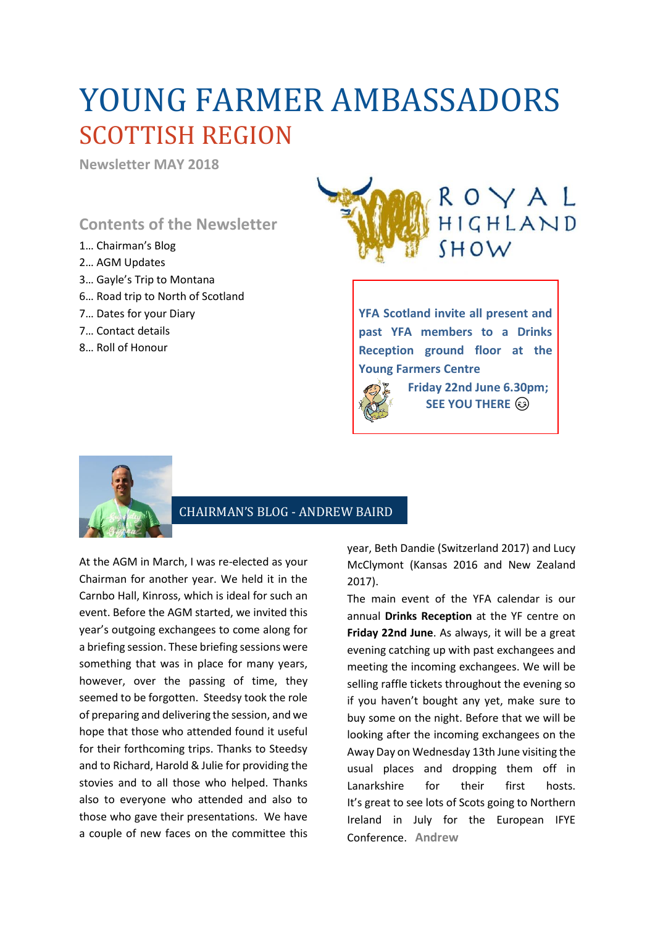# YOUNG FARMER AMBASSADORS SCOTTISH REGION

**Newsletter MAY 2018**

## **Contents of the Newsletter**

- 1… Chairman's Blog
- 2… AGM Updates
- 3… Gayle's Trip to Montana
- 6… Road trip to North of Scotland
- 7… Dates for your Diary
- 7… Contact details
- 8… Roll of Honour



**YFA Scotland invite all present and past YFA members to a Drinks Reception ground floor at the Young Farmers Centre**



**Friday 22nd June 6.30pm; SEE YOU THERE**  $\circledcirc$ 



### CHAIRMAN'S BLOG - ANDREW BAIRD

At the AGM in March, I was re-elected as your Chairman for another year. We held it in the Carnbo Hall, Kinross, which is ideal for such an event. Before the AGM started, we invited this year's outgoing exchangees to come along for a briefing session. These briefing sessions were something that was in place for many years, however, over the passing of time, they seemed to be forgotten. Steedsy took the role of preparing and delivering the session, and we hope that those who attended found it useful for their forthcoming trips. Thanks to Steedsy and to Richard, Harold & Julie for providing the stovies and to all those who helped. Thanks also to everyone who attended and also to those who gave their presentations. We have a couple of new faces on the committee this

year, Beth Dandie (Switzerland 2017) and Lucy McClymont (Kansas 2016 and New Zealand 2017).

The main event of the YFA calendar is our annual **Drinks Reception** at the YF centre on **Friday 22nd June**. As always, it will be a great evening catching up with past exchangees and meeting the incoming exchangees. We will be selling raffle tickets throughout the evening so if you haven't bought any yet, make sure to buy some on the night. Before that we will be looking after the incoming exchangees on the Away Day on Wednesday 13th June visiting the usual places and dropping them off in Lanarkshire for their first hosts. It's great to see lots of Scots going to Northern Ireland in July for the European IFYE Conference. **Andrew**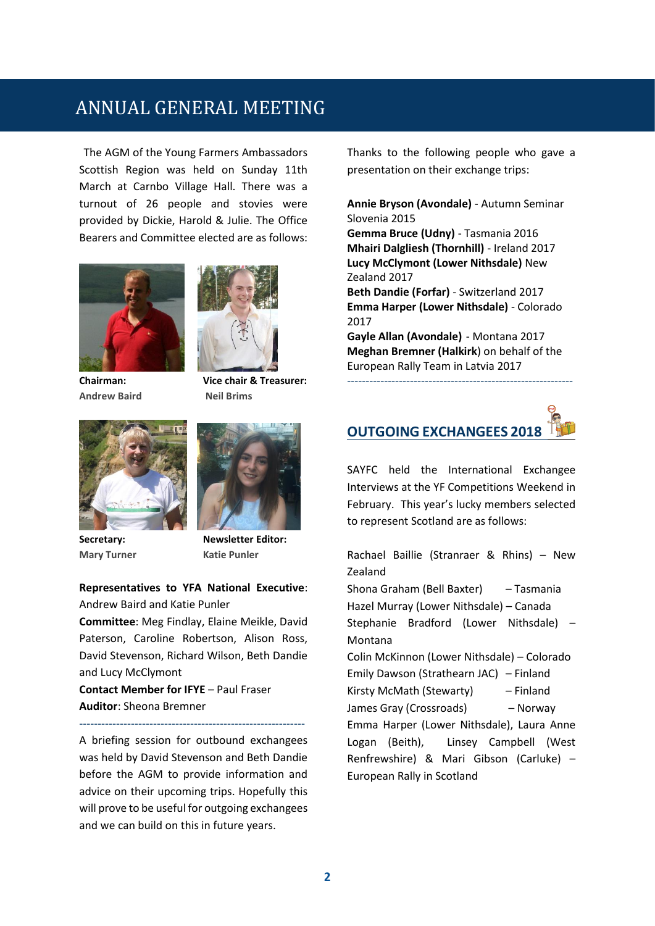# ANNUAL GENERAL MEETING

The AGM of the Young Farmers Ambassadors Scottish Region was held on Sunday 11th March at Carnbo Village Hall. There was a turnout of 26 people and stovies were provided by Dickie, Harold & Julie. The Office Bearers and Committee elected are as follows:



**Andrew Baird Neil Brims**



**Chairman: Vice chair & Treasurer:**



**Mary Turner** Katie Punler



**Secretary: Newsletter Editor:**

**Representatives to YFA National Executive**: Andrew Baird and Katie Punler

**Committee**: Meg Findlay, Elaine Meikle, David Paterson, Caroline Robertson, Alison Ross, David Stevenson, Richard Wilson, Beth Dandie and Lucy McClymont

**Contact Member for IFYE** – Paul Fraser **Auditor**: Sheona Bremner

-------------------------------------------------------------

A briefing session for outbound exchangees was held by David Stevenson and Beth Dandie before the AGM to provide information and advice on their upcoming trips. Hopefully this will prove to be useful for outgoing exchangees and we can build on this in future years.

Thanks to the following people who gave a presentation on their exchange trips:

**Annie Bryson (Avondale)** - Autumn Seminar Slovenia 2015 **Gemma Bruce (Udny)** - Tasmania 2016

**Mhairi Dalgliesh (Thornhill)** - Ireland 2017 **Lucy McClymont (Lower Nithsdale)** New Zealand 2017

**Beth Dandie (Forfar)** - Switzerland 2017 **Emma Harper (Lower Nithsdale)** - Colorado 2017

**Gayle Allan (Avondale)** - Montana 2017 **Meghan Bremner (Halkirk**) on behalf of the European Rally Team in Latvia 2017

**OUTGOING EXCHANGEES 2018** 

-------------------------------------------------------------

SAYFC held the International Exchangee Interviews at the YF Competitions Weekend in February. This year's lucky members selected to represent Scotland are as follows:

Rachael Baillie (Stranraer & Rhins) – New Zealand Shona Graham (Bell Baxter) – Tasmania Hazel Murray (Lower Nithsdale) – Canada Stephanie Bradford (Lower Nithsdale) – Montana Colin McKinnon (Lower Nithsdale) – Colorado Emily Dawson (Strathearn JAC) – Finland Kirsty McMath (Stewarty) – Finland James Gray (Crossroads) – Norway Emma Harper (Lower Nithsdale), Laura Anne Logan (Beith), Linsey Campbell (West Renfrewshire) & Mari Gibson (Carluke) – European Rally in Scotland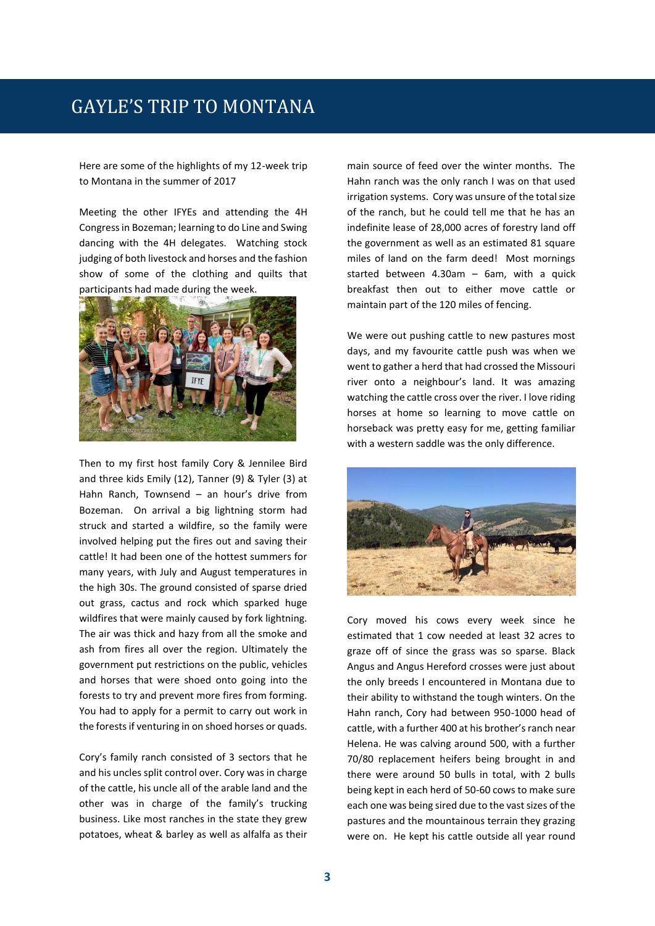Here are some of the highlights of my 12-week trip to Montana in the summer of 2017

Meeting the other IFYEs and attending the 4H Congress in Bozeman; learning to do Line and Swing dancing with the 4H delegates. Watching stock judging of both livestock and horses and the fashion show of some of the clothing and quilts that participants had made during the week.



Then to my first host family Cory & Jennilee Bird and three kids Emily (12), Tanner (9) & Tyler (3) at Hahn Ranch, Townsend – an hour's drive from Bozeman. On arrival a big lightning storm had struck and started a wildfire, so the family were involved helping put the fires out and saving their cattle! It had been one of the hottest summers for many years, with July and August temperatures in the high 30s. The ground consisted of sparse dried out grass, cactus and rock which sparked huge wildfires that were mainly caused by fork lightning. The air was thick and hazy from all the smoke and ash from fires all over the region. Ultimately the government put restrictions on the public, vehicles and horses that were shoed onto going into the forests to try and prevent more fires from forming. You had to apply for a permit to carry out work in the forests if venturing in on shoed horses or quads.

Cory's family ranch consisted of 3 sectors that he and his uncles split control over. Cory was in charge of the cattle, his uncle all of the arable land and the other was in charge of the family's trucking business. Like most ranches in the state they grew potatoes, wheat & barley as well as alfalfa as their main source of feed over the winter months. The Hahn ranch was the only ranch I was on that used irrigation systems. Cory was unsure of the total size of the ranch, but he could tell me that he has an indefinite lease of 28,000 acres of forestry land off the government as well as an estimated 81 square miles of land on the farm deed! Most mornings started between 4.30am – 6am, with a quick breakfast then out to either move cattle or maintain part of the 120 miles of fencing.

We were out pushing cattle to new pastures most days, and my favourite cattle push was when we went to gather a herd that had crossed the Missouri river onto a neighbour's land. It was amazing watching the cattle cross over the river. I love riding horses at home so learning to move cattle on horseback was pretty easy for me, getting familiar with a western saddle was the only difference.



Cory moved his cows every week since he estimated that 1 cow needed at least 32 acres to graze off of since the grass was so sparse. Black Angus and Angus Hereford crosses were just about the only breeds I encountered in Montana due to their ability to withstand the tough winters. On the Hahn ranch, Cory had between 950-1000 head of cattle, with a further 400 at his brother's ranch near Helena. He was calving around 500, with a further 70/80 replacement heifers being brought in and there were around 50 bulls in total, with 2 bulls being kept in each herd of 50-60 cows to make sure each one was being sired due to the vast sizes of the pastures and the mountainous terrain they grazing were on. He kept his cattle outside all year round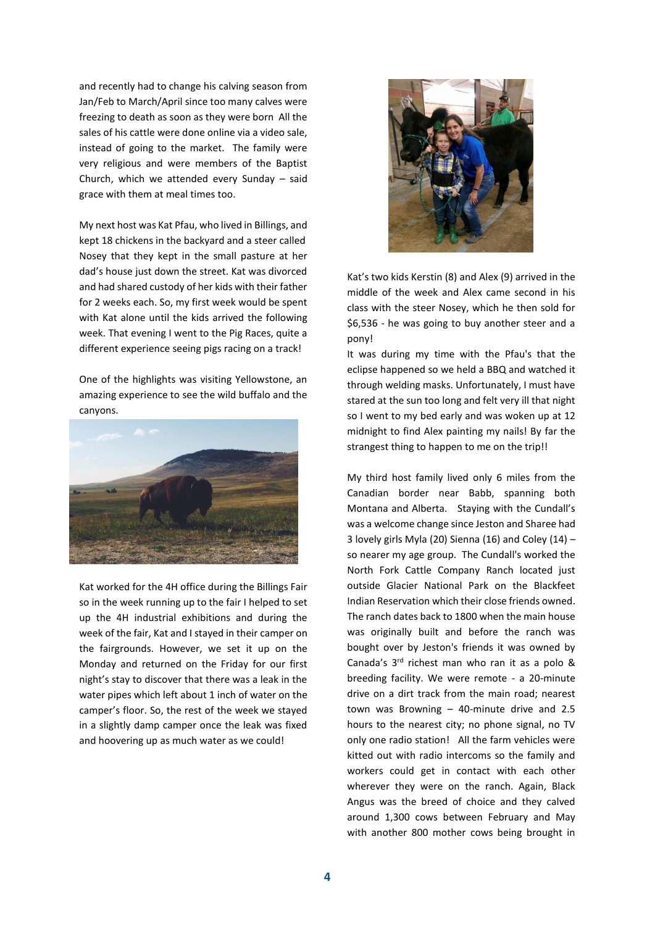and recently had to change his calving season from Jan/Feb to March/April since too many calves were freezing to death as soon as they were born All the sales of his cattle were done online via a video sale, instead of going to the market. The family were very religious and were members of the Baptist Church, which we attended every Sunday – said grace with them at meal times too.

My next host was Kat Pfau, who lived in Billings, and kept 18 chickens in the backyard and a steer called Nosey that they kept in the small pasture at her dad's house just down the street. Kat was divorced and had shared custody of her kids with their father for 2 weeks each. So, my first week would be spent with Kat alone until the kids arrived the following week. That evening I went to the Pig Races, quite a different experience seeing pigs racing on a track!

One of the highlights was visiting Yellowstone, an amazing experience to see the wild buffalo and the canyons.



Kat worked for the 4H office during the Billings Fair so in the week running up to the fair I helped to set up the 4H industrial exhibitions and during the week of the fair, Kat and I stayed in their camper on the fairgrounds. However, we set it up on the Monday and returned on the Friday for our first night's stay to discover that there was a leak in the water pipes which left about 1 inch of water on the camper's floor. So, the rest of the week we stayed in a slightly damp camper once the leak was fixed and hoovering up as much water as we could!



Kat's two kids Kerstin (8) and Alex (9) arrived in the middle of the week and Alex came second in his class with the steer Nosey, which he then sold for \$6,536 - he was going to buy another steer and a pony!

It was during my time with the Pfau's that the eclipse happened so we held a BBQ and watched it through welding masks. Unfortunately, I must have stared at the sun too long and felt very ill that night so I went to my bed early and was woken up at 12 midnight to find Alex painting my nails! By far the strangest thing to happen to me on the trip!!

My third host family lived only 6 miles from the Canadian border near Babb, spanning both Montana and Alberta. Staying with the Cundall's was a welcome change since Jeston and Sharee had 3 lovely girls Myla (20) Sienna (16) and Coley (14)  $$ so nearer my age group. The Cundall's worked the North Fork Cattle Company Ranch located just outside Glacier National Park on the Blackfeet Indian Reservation which their close friends owned. The ranch dates back to 1800 when the main house was originally built and before the ranch was bought over by Jeston's friends it was owned by Canada's  $3<sup>rd</sup>$  richest man who ran it as a polo & breeding facility. We were remote - a 20-minute drive on a dirt track from the main road; nearest town was Browning – 40-minute drive and 2.5 hours to the nearest city; no phone signal, no TV only one radio station! All the farm vehicles were kitted out with radio intercoms so the family and workers could get in contact with each other wherever they were on the ranch. Again, Black Angus was the breed of choice and they calved around 1,300 cows between February and May with another 800 mother cows being brought in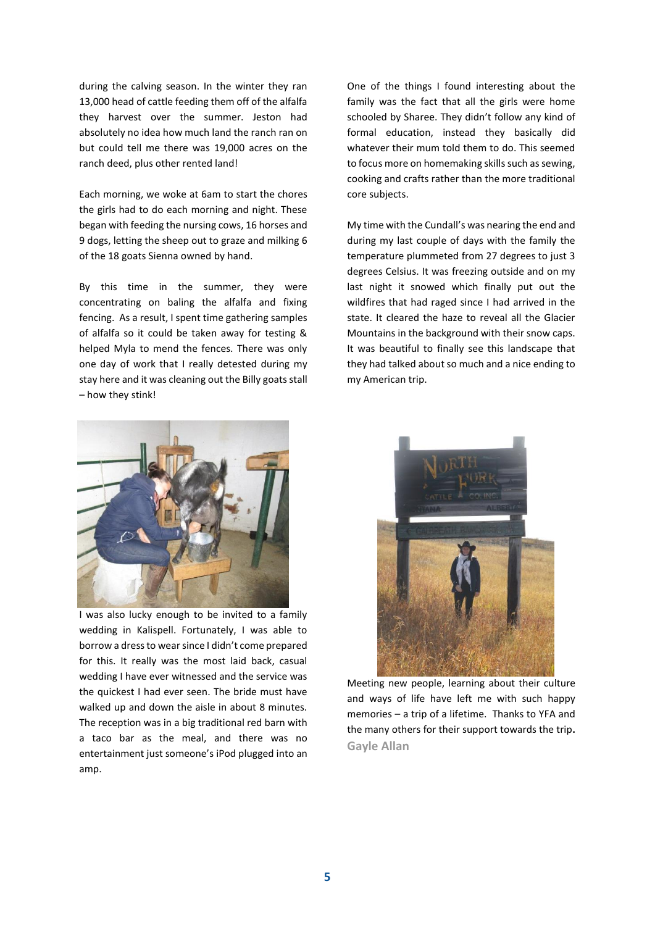during the calving season. In the winter they ran 13,000 head of cattle feeding them off of the alfalfa they harvest over the summer. Jeston had absolutely no idea how much land the ranch ran on but could tell me there was 19,000 acres on the ranch deed, plus other rented land!

Each morning, we woke at 6am to start the chores the girls had to do each morning and night. These began with feeding the nursing cows, 16 horses and 9 dogs, letting the sheep out to graze and milking 6 of the 18 goats Sienna owned by hand.

By this time in the summer, they were concentrating on baling the alfalfa and fixing fencing. As a result, I spent time gathering samples of alfalfa so it could be taken away for testing & helped Myla to mend the fences. There was only one day of work that I really detested during my stay here and it was cleaning out the Billy goats stall – how they stink!



I was also lucky enough to be invited to a family wedding in Kalispell. Fortunately, I was able to borrow a dress to wear since I didn't come prepared for this. It really was the most laid back, casual wedding I have ever witnessed and the service was the quickest I had ever seen. The bride must have walked up and down the aisle in about 8 minutes. The reception was in a big traditional red barn with a taco bar as the meal, and there was no entertainment just someone's iPod plugged into an amp.

One of the things I found interesting about the family was the fact that all the girls were home schooled by Sharee. They didn't follow any kind of formal education, instead they basically did whatever their mum told them to do. This seemed to focus more on homemaking skills such as sewing, cooking and crafts rather than the more traditional core subjects.

My time with the Cundall's was nearing the end and during my last couple of days with the family the temperature plummeted from 27 degrees to just 3 degrees Celsius. It was freezing outside and on my last night it snowed which finally put out the wildfires that had raged since I had arrived in the state. It cleared the haze to reveal all the Glacier Mountains in the background with their snow caps. It was beautiful to finally see this landscape that they had talked about so much and a nice ending to my American trip.



Meeting new people, learning about their culture and ways of life have left me with such happy memories – a trip of a lifetime. Thanks to YFA and the many others for their support towards the trip**. Gayle Allan**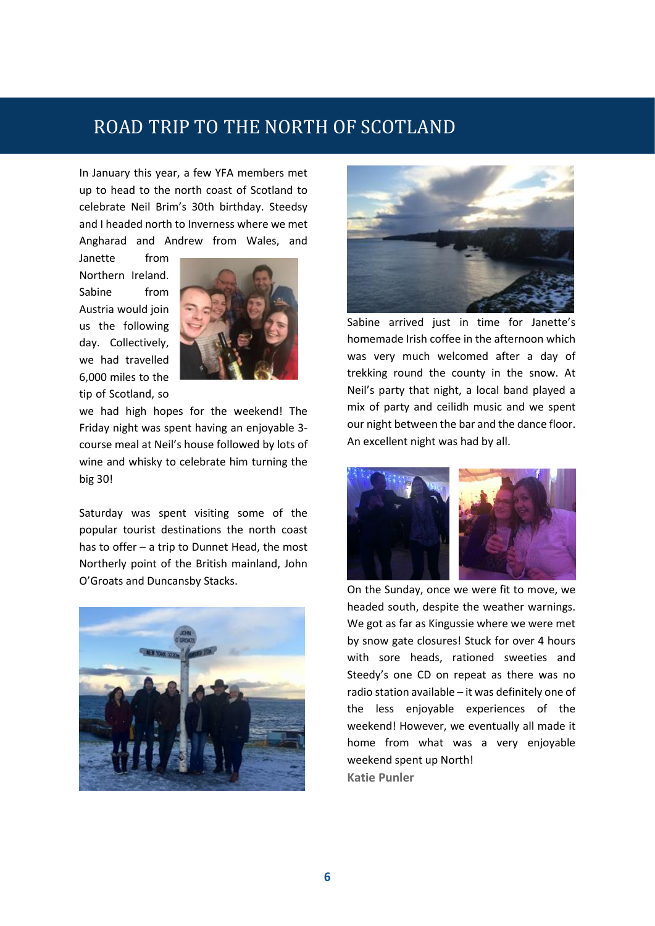# ROAD TRIP TO THE NORTH OF SCOTLAND

In January this year, a few YFA members met up to head to the north coast of Scotland to celebrate Neil Brim's 30th birthday. Steedsy and I headed north to Inverness where we met Angharad and Andrew from Wales, and

Janette from Northern Ireland. Sabine from Austria would join us the following day. Collectively, we had travelled 6,000 miles to the tip of Scotland, so



we had high hopes for the weekend! The Friday night was spent having an enjoyable 3 course meal at Neil's house followed by lots of wine and whisky to celebrate him turning the big 30!

Saturday was spent visiting some of the popular tourist destinations the north coast has to offer – a trip to Dunnet Head, the most Northerly point of the British mainland, John O'Groats and Duncansby Stacks.





Sabine arrived just in time for Janette's homemade Irish coffee in the afternoon which was very much welcomed after a day of trekking round the county in the snow. At Neil's party that night, a local band played a mix of party and ceilidh music and we spent our night between the bar and the dance floor. An excellent night was had by all.



On the Sunday, once we were fit to move, we headed south, despite the weather warnings. We got as far as Kingussie where we were met by snow gate closures! Stuck for over 4 hours with sore heads, rationed sweeties and Steedy's one CD on repeat as there was no radio station available – it was definitely one of the less enjoyable experiences of the weekend! However, we eventually all made it home from what was a very enjoyable weekend spent up North! **Katie Punler**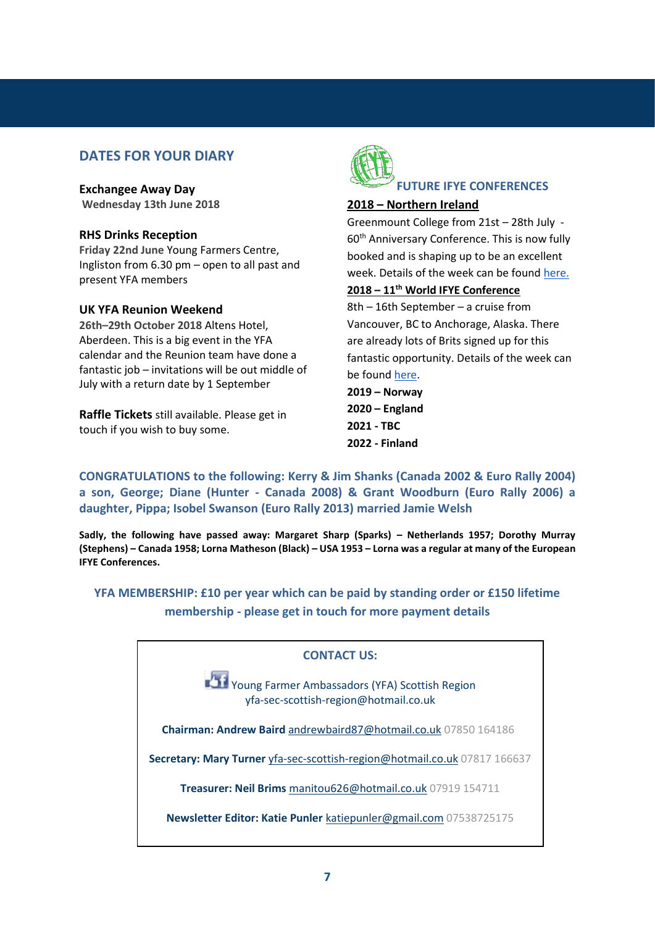### **DATES FOR YOUR DIARY**

**Exchangee Away Day Wednesday 13th June 2018**

#### **RHS Drinks Reception**

**Friday 22nd June** Young Farmers Centre, Ingliston from 6.30 pm – open to all past and present YFA members

#### **UK YFA Reunion Weekend**

**26th–29th October 2018** Altens Hotel, Aberdeen. This is a big event in the YFA calendar and the Reunion team have done a fantastic job – invitations will be out middle of July with a return date by 1 September

**Raffle Tickets** still available. Please get in touch if you wish to buy some.



#### **2018 – Northern Ireland**

Greenmount College from 21st – 28th July - 60<sup>th</sup> Anniversary Conference. This is now fully booked and is shaping up to be an excellent week. Details of the week can be found [here.](https://www.ifye2018.com/)

### **2018 – 11th World IFYE Conference**

8th – 16th September – a cruise from Vancouver, BC to Anchorage, Alaska. There are already lots of Brits signed up for this fantastic opportunity. Details of the week can be foun[d here.](http://ifyeusa.org/news-conferences/conferences/2018-world-ifye-conference.html)

**2019 – Norway 2020 – England 2021 - TBC 2022 - Finland**

**CONGRATULATIONS to the following: Kerry & Jim Shanks (Canada 2002 & Euro Rally 2004) a son, George; Diane (Hunter - Canada 2008) & Grant Woodburn (Euro Rally 2006) a daughter, Pippa; Isobel Swanson (Euro Rally 2013) married Jamie Welsh**

**Sadly, the following have passed away: Margaret Sharp (Sparks) – Netherlands 1957; Dorothy Murray (Stephens) – Canada 1958; Lorna Matheson (Black) – USA 1953 – Lorna was a regular at many of the European IFYE Conferences.**

**YFA MEMBERSHIP: £10 per year which can be paid by standing order or £150 lifetime membership - please get in touch for more payment details**